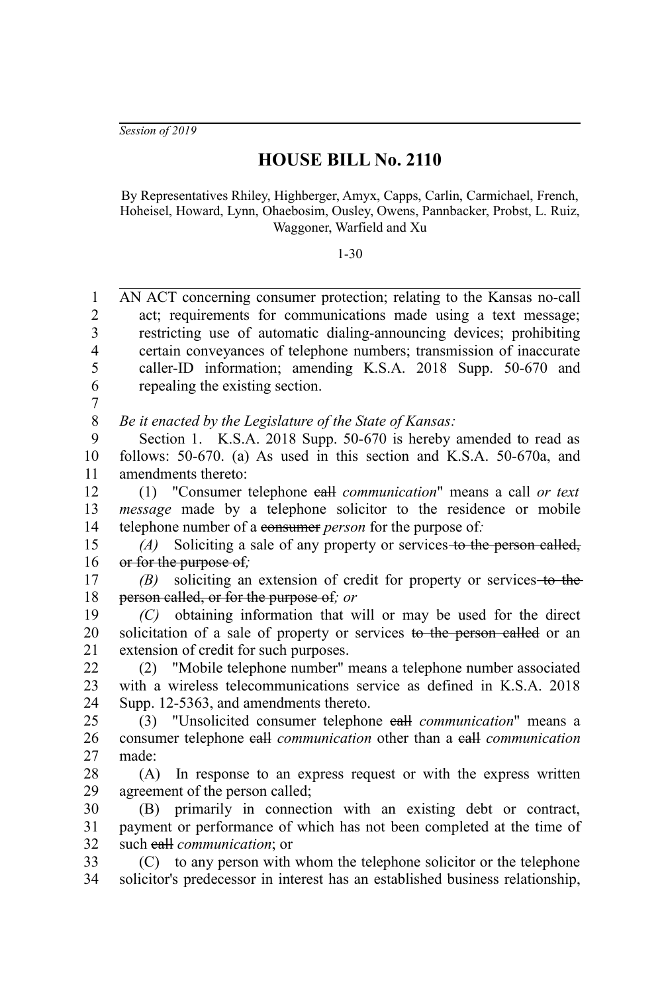*Session of 2019*

## **HOUSE BILL No. 2110**

By Representatives Rhiley, Highberger, Amyx, Capps, Carlin, Carmichael, French, Hoheisel, Howard, Lynn, Ohaebosim, Ousley, Owens, Pannbacker, Probst, L. Ruiz, Waggoner, Warfield and Xu

1-30

AN ACT concerning consumer protection; relating to the Kansas no-call act; requirements for communications made using a text message; restricting use of automatic dialing-announcing devices; prohibiting certain conveyances of telephone numbers; transmission of inaccurate caller-ID information; amending K.S.A. 2018 Supp. 50-670 and repealing the existing section. 1  $\mathcal{D}_{\mathcal{L}}$ 3 4 5 6 7

*Be it enacted by the Legislature of the State of Kansas:* 8

Section 1. K.S.A. 2018 Supp. 50-670 is hereby amended to read as follows: 50-670. (a) As used in this section and K.S.A. 50-670a, and amendments thereto: 9 10 11

(1) "Consumer telephone call *communication*" means a call *or text message* made by a telephone solicitor to the residence or mobile telephone number of a consumer *person* for the purpose of*:* 12 13 14

*(A)* Soliciting a sale of any property or services to the person called, or for the purpose of*;* 15 16

*(B)* soliciting an extension of credit for property or services to the person called, or for the purpose of*; or* 17 18

*(C)* obtaining information that will or may be used for the direct solicitation of a sale of property or services to the person called or an extension of credit for such purposes. 19 20 21

(2) "Mobile telephone number" means a telephone number associated with a wireless telecommunications service as defined in K.S.A. 2018. Supp. 12-5363, and amendments thereto.  $22$ 23  $24$ 

(3) "Unsolicited consumer telephone call *communication*" means a consumer telephone call *communication* other than a call *communication* made: 25 26 27

(A) In response to an express request or with the express written agreement of the person called; 28 29

(B) primarily in connection with an existing debt or contract, payment or performance of which has not been completed at the time of such call *communication*; or 30 31 32

(C) to any person with whom the telephone solicitor or the telephone solicitor's predecessor in interest has an established business relationship, 33 34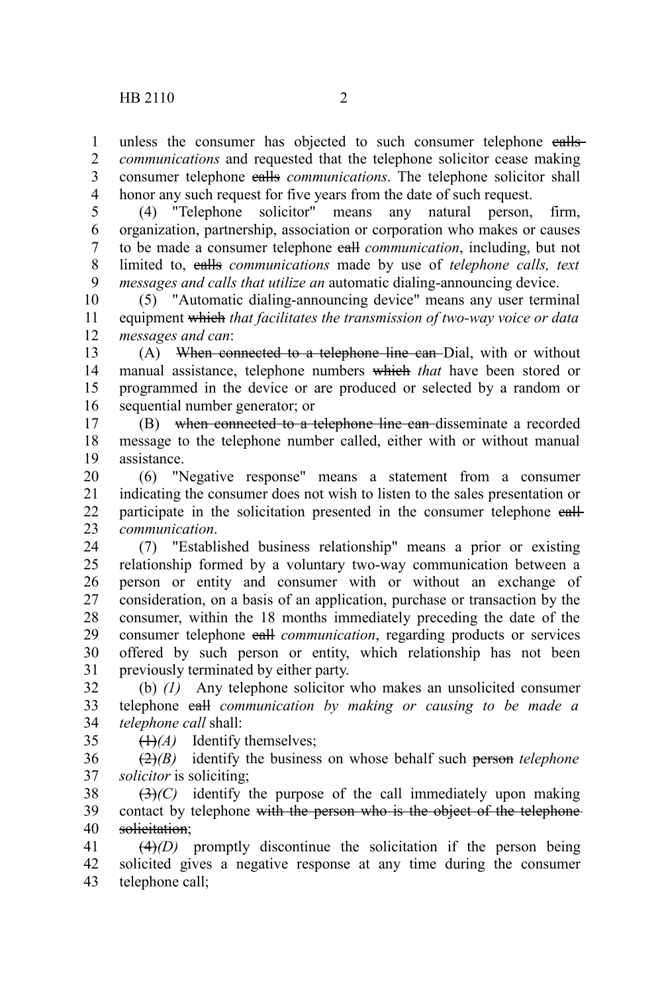unless the consumer has objected to such consumer telephone ealls*communications* and requested that the telephone solicitor cease making consumer telephone calls *communications*. The telephone solicitor shall honor any such request for five years from the date of such request. 1 2 3 4

(4) "Telephone solicitor" means any natural person, firm, organization, partnership, association or corporation who makes or causes to be made a consumer telephone call *communication*, including, but not limited to, calls *communications* made by use of *telephone calls, text messages and calls that utilize an* automatic dialing-announcing device. 5 6 7 8 9

(5) "Automatic dialing-announcing device" means any user terminal equipment which *that facilitates the transmission of two-way voice or data messages and can*: 10 11 12

(A) When connected to a telephone line can Dial, with or without manual assistance, telephone numbers which *that* have been stored or programmed in the device or are produced or selected by a random or sequential number generator; or 13 14 15 16

(B) when connected to a telephone line can disseminate a recorded message to the telephone number called, either with or without manual assistance. 17 18 19

(6) "Negative response" means a statement from a consumer indicating the consumer does not wish to listen to the sales presentation or participate in the solicitation presented in the consumer telephone eall*communication*. 20 21 22 23

(7) "Established business relationship" means a prior or existing relationship formed by a voluntary two-way communication between a person or entity and consumer with or without an exchange of consideration, on a basis of an application, purchase or transaction by the consumer, within the 18 months immediately preceding the date of the consumer telephone call *communication*, regarding products or services offered by such person or entity, which relationship has not been previously terminated by either party. 24 25 26 27 28 29 30 31

(b) *(1)* Any telephone solicitor who makes an unsolicited consumer telephone call *communication by making or causing to be made a telephone call* shall: 32 33 34

 $\left(\frac{1}{4}\right)$  Identify themselves; 35

(2)*(B)* identify the business on whose behalf such person *telephone solicitor* is soliciting; 36 37

 $(3)$ <sup>(C)</sup> identify the purpose of the call immediately upon making contact by telephone with the person who is the object of the telephonesolicitation: 38 39 40

(4)*(D)* promptly discontinue the solicitation if the person being solicited gives a negative response at any time during the consumer telephone call; 41 42 43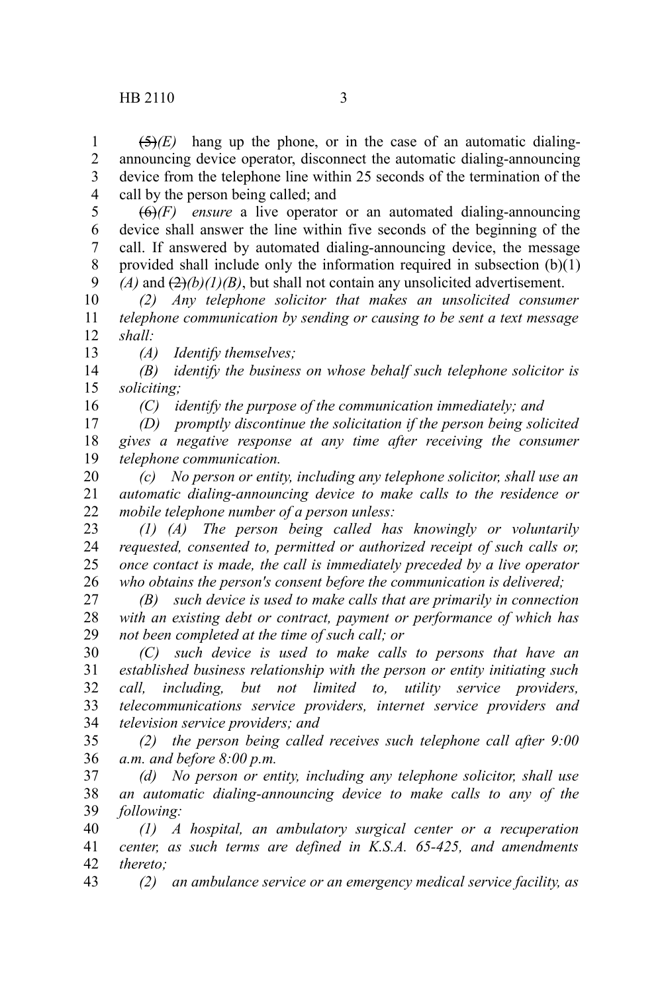16

 $(5)(E)$  hang up the phone, or in the case of an automatic dialingannouncing device operator, disconnect the automatic dialing-announcing device from the telephone line within 25 seconds of the termination of the call by the person being called; and 1 2 3 4

 $\overline{(6)}$ *(F) ensure* a live operator or an automated dialing-announcing device shall answer the line within five seconds of the beginning of the call. If answered by automated dialing-announcing device, the message provided shall include only the information required in subsection  $(b)(1)$  $(A)$  and  $(2)(b)(1)(B)$ , but shall not contain any unsolicited advertisement. 5 6 7 8 9

*(2) Any telephone solicitor that makes an unsolicited consumer telephone communication by sending or causing to be sent a text message shall:* 10 11 12 13

*(A) Identify themselves;*

*(B) identify the business on whose behalf such telephone solicitor is soliciting;* 14 15

*(C) identify the purpose of the communication immediately; and*

*(D) promptly discontinue the solicitation if the person being solicited gives a negative response at any time after receiving the consumer telephone communication.* 17 18 19

*(c) No person or entity, including any telephone solicitor, shall use an automatic dialing-announcing device to make calls to the residence or mobile telephone number of a person unless:* 20 21 22

*(1) (A) The person being called has knowingly or voluntarily requested, consented to, permitted or authorized receipt of such calls or, once contact is made, the call is immediately preceded by a live operator who obtains the person's consent before the communication is delivered;* 23 24 25 26

*(B) such device is used to make calls that are primarily in connection with an existing debt or contract, payment or performance of which has not been completed at the time of such call; or* 27 28 29

*(C) such device is used to make calls to persons that have an established business relationship with the person or entity initiating such call, including, but not limited to, utility service providers, telecommunications service providers, internet service providers and television service providers; and* 30 31 32 33 34

*(2) the person being called receives such telephone call after 9:00 a.m. and before 8:00 p.m.* 35 36

*(d) No person or entity, including any telephone solicitor, shall use an automatic dialing-announcing device to make calls to any of the following:* 37 38 39

*(1) A hospital, an ambulatory surgical center or a recuperation center, as such terms are defined in K.S.A. 65-425, and amendments thereto;* 40 41 42

*(2) an ambulance service or an emergency medical service facility, as* 43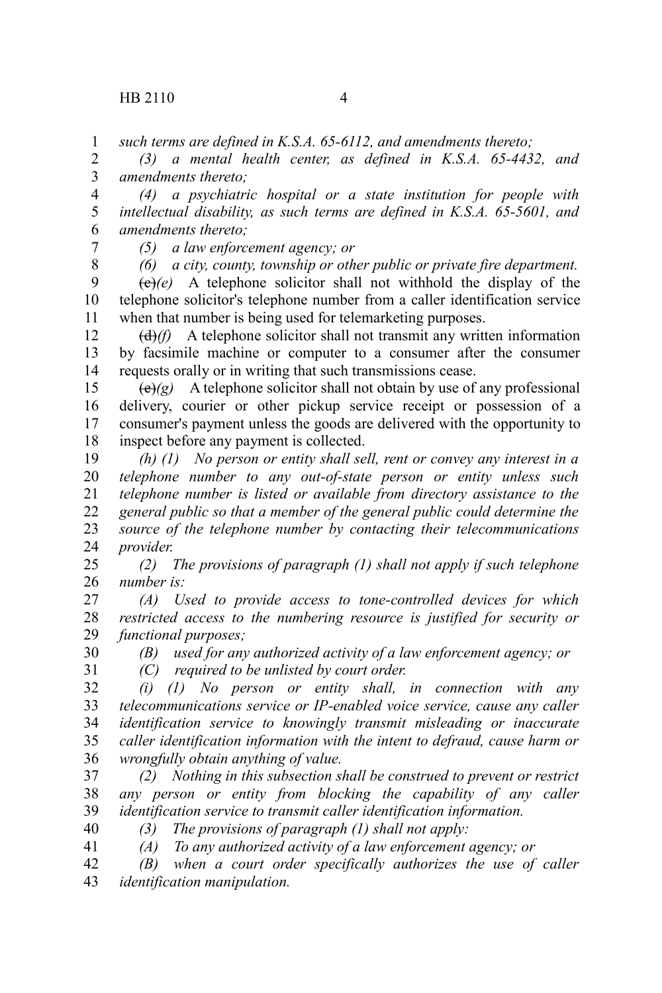*such terms are defined in K.S.A. 65-6112, and amendments thereto;* 1

*(3) a mental health center, as defined in K.S.A. 65-4432, and amendments thereto;* 2 3

*(4) a psychiatric hospital or a state institution for people with intellectual disability, as such terms are defined in K.S.A. 65-5601, and amendments thereto;* 4 5 6

7 8 *(5) a law enforcement agency; or (6) a city, county, township or other public or private fire department.*

 $(e)(e)$  A telephone solicitor shall not withhold the display of the telephone solicitor's telephone number from a caller identification service when that number is being used for telemarketing purposes. 9 10 11

(d)*(f)* A telephone solicitor shall not transmit any written information by facsimile machine or computer to a consumer after the consumer requests orally or in writing that such transmissions cease. 12 13 14

 $\left(\frac{e}{g}\right)$  A telephone solicitor shall not obtain by use of any professional delivery, courier or other pickup service receipt or possession of a consumer's payment unless the goods are delivered with the opportunity to inspect before any payment is collected. 15 16 17 18

*(h) (1) No person or entity shall sell, rent or convey any interest in a telephone number to any out-of-state person or entity unless such telephone number is listed or available from directory assistance to the general public so that a member of the general public could determine the source of the telephone number by contacting their telecommunications provider.* 19 20 21 22 23 24

*(2) The provisions of paragraph (1) shall not apply if such telephone number is:* 25 26

*(A) Used to provide access to tone-controlled devices for which restricted access to the numbering resource is justified for security or functional purposes;* 27 28 29

*(B) used for any authorized activity of a law enforcement agency; or* 30

*(C) required to be unlisted by court order.* 31

*(i) (1) No person or entity shall, in connection with any telecommunications service or IP-enabled voice service, cause any caller identification service to knowingly transmit misleading or inaccurate caller identification information with the intent to defraud, cause harm or wrongfully obtain anything of value.* 32 33 34 35 36

*(2) Nothing in this subsection shall be construed to prevent or restrict any person or entity from blocking the capability of any caller identification service to transmit caller identification information.* 37 38 39

*(3) The provisions of paragraph (1) shall not apply:* 40

*(A) To any authorized activity of a law enforcement agency; or* 41

*(B) when a court order specifically authorizes the use of caller identification manipulation.* 42 43